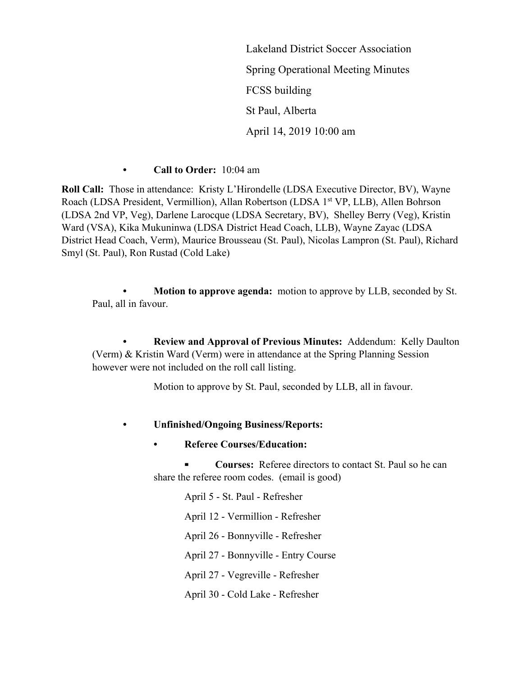Lakeland District Soccer Association Spring Operational Meeting Minutes FCSS building St Paul, Alberta April 14, 2019 10:00 am

**• Call to Order:** 10:04 am

**Roll Call:** Those in attendance: Kristy L'Hirondelle (LDSA Executive Director, BV), Wayne Roach (LDSA President, Vermillion), Allan Robertson (LDSA 1<sup>st</sup> VP, LLB), Allen Bohrson (LDSA 2nd VP, Veg), Darlene Larocque (LDSA Secretary, BV), Shelley Berry (Veg), Kristin Ward (VSA), Kika Mukuninwa (LDSA District Head Coach, LLB), Wayne Zayac (LDSA District Head Coach, Verm), Maurice Brousseau (St. Paul), Nicolas Lampron (St. Paul), Richard Smyl (St. Paul), Ron Rustad (Cold Lake)

**• Motion to approve agenda:** motion to approve by LLB, seconded by St. Paul, all in favour.

**• Review and Approval of Previous Minutes:** Addendum: Kelly Daulton (Verm) & Kristin Ward (Verm) were in attendance at the Spring Planning Session however were not included on the roll call listing.

Motion to approve by St. Paul, seconded by LLB, all in favour.

## **• Unfinished/Ongoing Business/Reports:**

**• Referee Courses/Education:** 

**⁃ Courses:** Referee directors to contact St. Paul so he can share the referee room codes. (email is good)

April 5 - St. Paul - Refresher April 12 - Vermillion - Refresher April 26 - Bonnyville - Refresher April 27 - Bonnyville - Entry Course April 27 - Vegreville - Refresher April 30 - Cold Lake - Refresher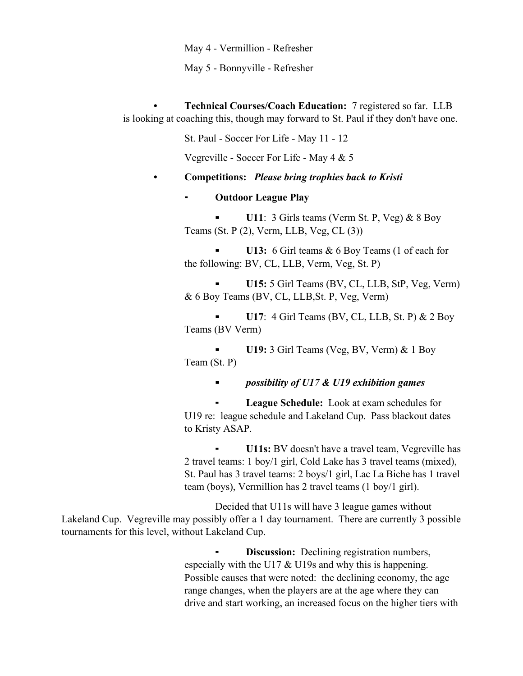May 4 - Vermillion - Refresher

May 5 - Bonnyville - Refresher

**• Technical Courses/Coach Education:** 7 registered so far. LLB is looking at coaching this, though may forward to St. Paul if they don't have one.

St. Paul - Soccer For Life - May 11 - 12

Vegreville - Soccer For Life - May 4 & 5

**• Competitions:** *Please bring trophies back to Kristi*

## ⁃ **Outdoor League Play**

**U11**: 3 Girls teams (Verm St. P, Veg) & 8 Boy Teams (St. P (2), Verm, LLB, Veg, CL (3))

**U13:** 6 Girl teams & 6 Boy Teams (1 of each for the following: BV, CL, LLB, Verm, Veg, St. P)

**⁃ U15:** 5 Girl Teams (BV, CL, LLB, StP, Veg, Verm) & 6 Boy Teams (BV, CL, LLB,St. P, Veg, Verm)

**⁃ U17**: 4 Girl Teams (BV, CL, LLB, St. P) & 2 Boy Teams (BV Verm)

**⁃ U19:** 3 Girl Teams (Veg, BV, Verm) & 1 Boy Team (St. P)

**⁃** *possibility of U17 & U19 exhibition games*

League Schedule: Look at exam schedules for U19 re: league schedule and Lakeland Cup. Pass blackout dates to Kristy ASAP.

**U11s:** BV doesn't have a travel team, Vegreville has 2 travel teams: 1 boy/1 girl, Cold Lake has 3 travel teams (mixed), St. Paul has 3 travel teams: 2 boys/1 girl, Lac La Biche has 1 travel team (boys), Vermillion has 2 travel teams (1 boy/1 girl).

Decided that U11s will have 3 league games without Lakeland Cup. Vegreville may possibly offer a 1 day tournament. There are currently 3 possible tournaments for this level, without Lakeland Cup.

> **Discussion:** Declining registration numbers, especially with the U17  $&$  U19s and why this is happening. Possible causes that were noted: the declining economy, the age range changes, when the players are at the age where they can drive and start working, an increased focus on the higher tiers with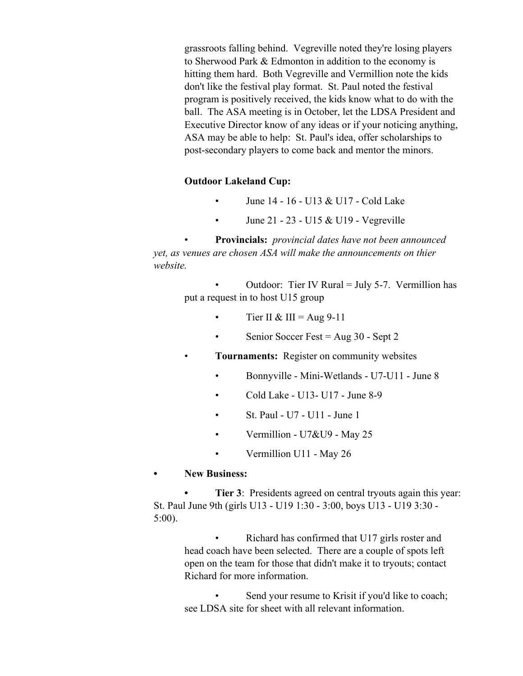grassroots falling behind. Vegreville noted they're losing players to Sherwood Park & Edmonton in addition to the economy is hitting them hard. Both Vegreville and Vermillion note the kids don't like the festival play format. St. Paul noted the festival program is positively received, the kids know what to do with the ball. The ASA meeting is in October, let the LDSA President and Executive Director know of any ideas or if your noticing anything, ASA may be able to help: St. Paul's idea, offer scholarships to post-secondary players to come back and mentor the minors.

## **Outdoor Lakeland Cup:**

- June 14 16 U13 & U17 Cold Lake
- June 21 23 U15 & U19 Vegreville

• **Provincials:** *provincial dates have not been announced yet, as venues are chosen ASA will make the announcements on thier website.*

> Outdoor: Tier IV Rural = July 5-7. Vermillion has put a request in to host U15 group

- Tier II & III =  $\text{Aug } 9-11$
- Senior Soccer Fest = Aug 30 Sept 2
- **Tournaments:** Register on community websites
	- Bonnyville Mini-Wetlands U7-U11 June 8
	- Cold Lake U13- U17 June 8-9
	- St. Paul U7 U11 June 1
	- Vermillion U7&U9 May 25
	- Vermillion U11 May 26
- **• New Business:**

**Tier 3**: Presidents agreed on central tryouts again this year: St. Paul June 9th (girls U13 - U19 1:30 - 3:00, boys U13 - U19 3:30 - 5:00).

• Richard has confirmed that U17 girls roster and head coach have been selected. There are a couple of spots left open on the team for those that didn't make it to tryouts; contact Richard for more information.

Send your resume to Krisit if you'd like to coach; see LDSA site for sheet with all relevant information.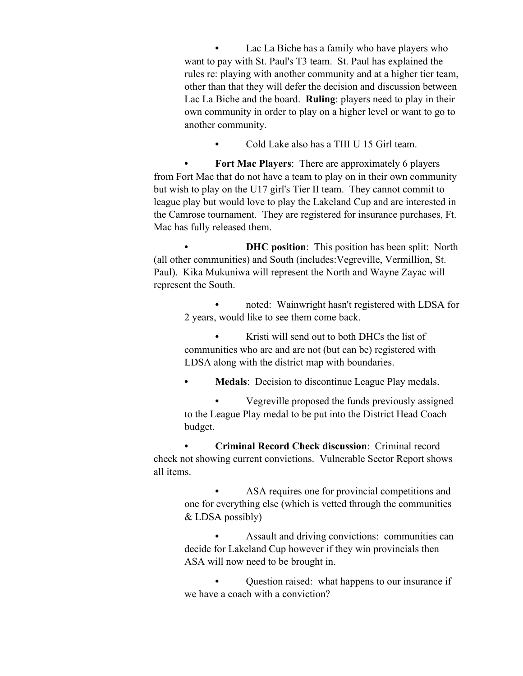**•** Lac La Biche has a family who have players who want to pay with St. Paul's T3 team. St. Paul has explained the rules re: playing with another community and at a higher tier team, other than that they will defer the decision and discussion between Lac La Biche and the board. **Ruling**: players need to play in their own community in order to play on a higher level or want to go to another community.

**•** Cold Lake also has a TIII U 15 Girl team.

**• Fort Mac Players**: There are approximately 6 players from Fort Mac that do not have a team to play on in their own community but wish to play on the U17 girl's Tier II team. They cannot commit to league play but would love to play the Lakeland Cup and are interested in the Camrose tournament. They are registered for insurance purchases, Ft. Mac has fully released them.

**DHC** position: This position has been split: North (all other communities) and South (includes:Vegreville, Vermillion, St. Paul). Kika Mukuniwa will represent the North and Wayne Zayac will represent the South.

**•** noted: Wainwright hasn't registered with LDSA for 2 years, would like to see them come back.

**•** Kristi will send out to both DHCs the list of communities who are and are not (but can be) registered with LDSA along with the district map with boundaries.

**• Medals**: Decision to discontinue League Play medals.

**•** Vegreville proposed the funds previously assigned to the League Play medal to be put into the District Head Coach budget.

**• Criminal Record Check discussion**: Criminal record check not showing current convictions. Vulnerable Sector Report shows all items.

> **•** ASA requires one for provincial competitions and one for everything else (which is vetted through the communities & LDSA possibly)

> **•** Assault and driving convictions: communities can decide for Lakeland Cup however if they win provincials then ASA will now need to be brought in.

> **•** Question raised: what happens to our insurance if we have a coach with a conviction?